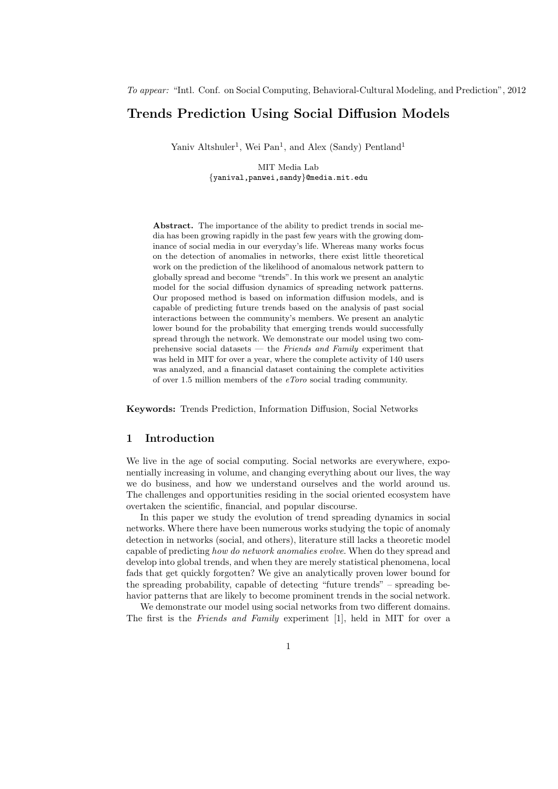## **Trends Prediction Using Social Diffusion Models**

Yaniv Altshuler<sup>1</sup>, Wei Pan<sup>1</sup>, and Alex (Sandy) Pentland<sup>1</sup>

MIT Media Lab *{*yanival,panwei,sandy*}*@media.mit.edu

**Abstract.** The importance of the ability to predict trends in social media has been growing rapidly in the past few years with the growing dominance of social media in our everyday's life. Whereas many works focus on the detection of anomalies in networks, there exist little theoretical work on the prediction of the likelihood of anomalous network pattern to globally spread and become "trends". In this work we present an analytic model for the social diffusion dynamics of spreading network patterns. Our proposed method is based on information diffusion models, and is capable of predicting future trends based on the analysis of past social interactions between the community's members. We present an analytic lower bound for the probability that emerging trends would successfully spread through the network. We demonstrate our model using two comprehensive social datasets — the *Friends and Family* experiment that was held in MIT for over a year, where the complete activity of 140 users was analyzed, and a financial dataset containing the complete activities of over 1.5 million members of the *eToro* social trading community.

**Keywords:** Trends Prediction, Information Diffusion, Social Networks

#### **1 Introduction**

We live in the age of social computing. Social networks are everywhere, exponentially increasing in volume, and changing everything about our lives, the way we do business, and how we understand ourselves and the world around us. The challenges and opportunities residing in the social oriented ecosystem have overtaken the scientific, financial, and popular discourse.

In this paper we study the evolution of trend spreading dynamics in social networks. Where there have been numerous works studying the topic of anomaly detection in networks (social, and others), literature still lacks a theoretic model capable of predicting *how do network anomalies evolve*. When do they spread and develop into global trends, and when they are merely statistical phenomena, local fads that get quickly forgotten? We give an analytically proven lower bound for the spreading probability, capable of detecting "future trends" – spreading behavior patterns that are likely to become prominent trends in the social network.

We demonstrate our model using social networks from two different domains. The first is the *Friends and Family* experiment [1], held in MIT for over a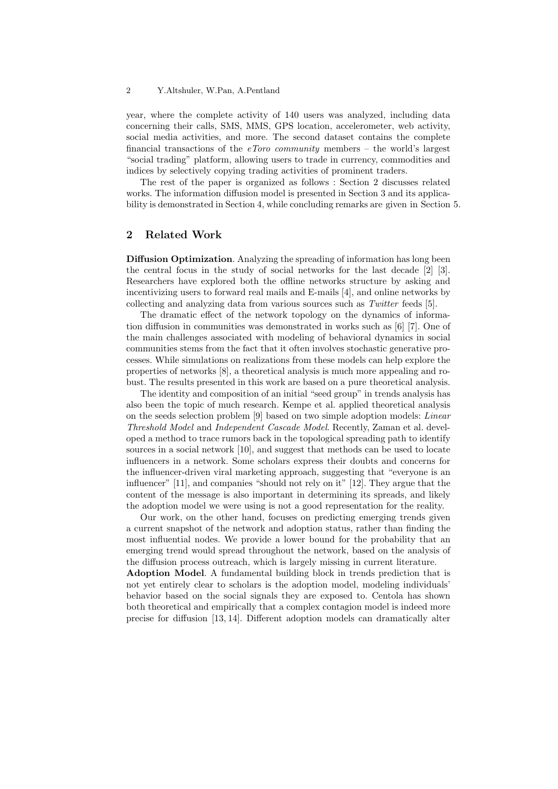year, where the complete activity of 140 users was analyzed, including data concerning their calls, SMS, MMS, GPS location, accelerometer, web activity, social media activities, and more. The second dataset contains the complete financial transactions of the *eToro community* members – the world's largest "social trading" platform, allowing users to trade in currency, commodities and indices by selectively copying trading activities of prominent traders.

The rest of the paper is organized as follows : Section 2 discusses related works. The information diffusion model is presented in Section 3 and its applicability is demonstrated in Section 4, while concluding remarks are given in Section 5.

## **2 Related Work**

**Diffusion Optimization**. Analyzing the spreading of information has long been the central focus in the study of social networks for the last decade [2] [3]. Researchers have explored both the offline networks structure by asking and incentivizing users to forward real mails and E-mails [4], and online networks by collecting and analyzing data from various sources such as *Twitter* feeds [5].

The dramatic effect of the network topology on the dynamics of information diffusion in communities was demonstrated in works such as [6] [7]. One of the main challenges associated with modeling of behavioral dynamics in social communities stems from the fact that it often involves stochastic generative processes. While simulations on realizations from these models can help explore the properties of networks [8], a theoretical analysis is much more appealing and robust. The results presented in this work are based on a pure theoretical analysis.

The identity and composition of an initial "seed group" in trends analysis has also been the topic of much research. Kempe et al. applied theoretical analysis on the seeds selection problem [9] based on two simple adoption models: *Linear Threshold Model* and *Independent Cascade Model*. Recently, Zaman et al. developed a method to trace rumors back in the topological spreading path to identify sources in a social network [10], and suggest that methods can be used to locate influencers in a network. Some scholars express their doubts and concerns for the influencer-driven viral marketing approach, suggesting that "everyone is an influencer" [11], and companies "should not rely on it" [12]. They argue that the content of the message is also important in determining its spreads, and likely the adoption model we were using is not a good representation for the reality.

Our work, on the other hand, focuses on predicting emerging trends given a current snapshot of the network and adoption status, rather than finding the most influential nodes. We provide a lower bound for the probability that an emerging trend would spread throughout the network, based on the analysis of the diffusion process outreach, which is largely missing in current literature.

**Adoption Model**. A fundamental building block in trends prediction that is not yet entirely clear to scholars is the adoption model, modeling individuals' behavior based on the social signals they are exposed to. Centola has shown both theoretical and empirically that a complex contagion model is indeed more precise for diffusion [13, 14]. Different adoption models can dramatically alter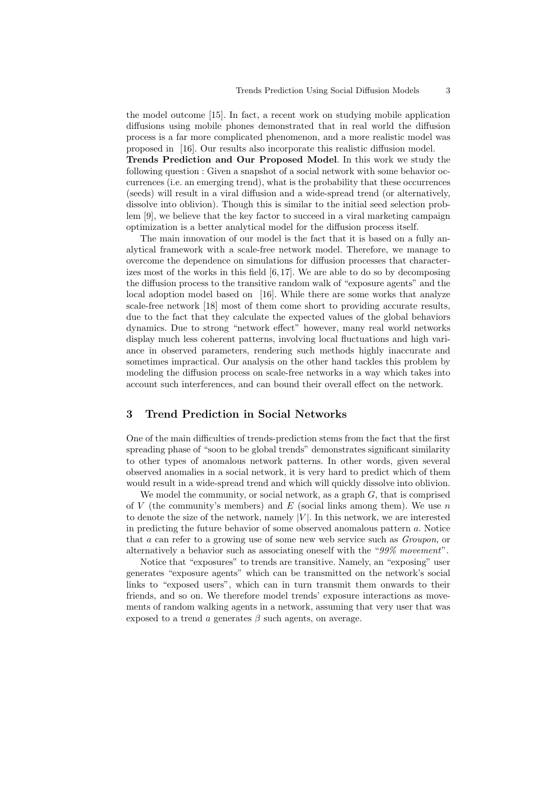the model outcome [15]. In fact, a recent work on studying mobile application diffusions using mobile phones demonstrated that in real world the diffusion process is a far more complicated phenomenon, and a more realistic model was proposed in [16]. Our results also incorporate this realistic diffusion model. **Trends Prediction and Our Proposed Model**. In this work we study the following question : Given a snapshot of a social network with some behavior occurrences (i.e. an emerging trend), what is the probability that these occurrences (seeds) will result in a viral diffusion and a wide-spread trend (or alternatively, dissolve into oblivion). Though this is similar to the initial seed selection problem [9], we believe that the key factor to succeed in a viral marketing campaign optimization is a better analytical model for the diffusion process itself.

The main innovation of our model is the fact that it is based on a fully analytical framework with a scale-free network model. Therefore, we manage to overcome the dependence on simulations for diffusion processes that characterizes most of the works in this field [6, 17]. We are able to do so by decomposing the diffusion process to the transitive random walk of "exposure agents" and the local adoption model based on [16]. While there are some works that analyze scale-free network [18] most of them come short to providing accurate results, due to the fact that they calculate the expected values of the global behaviors dynamics. Due to strong "network effect" however, many real world networks display much less coherent patterns, involving local fluctuations and high variance in observed parameters, rendering such methods highly inaccurate and sometimes impractical. Our analysis on the other hand tackles this problem by modeling the diffusion process on scale-free networks in a way which takes into account such interferences, and can bound their overall effect on the network.

## **3 Trend Prediction in Social Networks**

One of the main difficulties of trends-prediction stems from the fact that the first spreading phase of "soon to be global trends" demonstrates significant similarity to other types of anomalous network patterns. In other words, given several observed anomalies in a social network, it is very hard to predict which of them would result in a wide-spread trend and which will quickly dissolve into oblivion.

We model the community, or social network, as a graph *G*, that is comprised of *V* (the community's members) and *E* (social links among them). We use *n* to denote the size of the network, namely  $|V|$ . In this network, we are interested in predicting the future behavior of some observed anomalous pattern *a*. Notice that *a* can refer to a growing use of some new web service such as *Groupon*, or alternatively a behavior such as associating oneself with the "*99% movement*".

Notice that "exposures" to trends are transitive. Namely, an "exposing" user generates "exposure agents" which can be transmitted on the network's social links to "exposed users", which can in turn transmit them onwards to their friends, and so on. We therefore model trends' exposure interactions as movements of random walking agents in a network, assuming that very user that was exposed to a trend *a* generates  $\beta$  such agents, on average.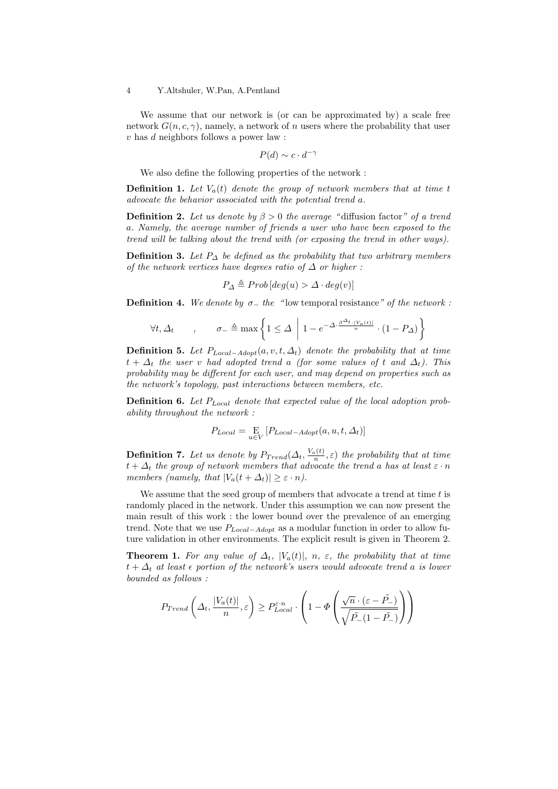We assume that our network is (or can be approximated by) a scale free network  $G(n, c, \gamma)$ , namely, a network of *n* users where the probability that user *v* has *d* neighbors follows a power law :

$$
P(d) \sim c \cdot d^{-\gamma}
$$

We also define the following properties of the network :

**Definition 1.** Let  $V_a(t)$  denote the group of network members that at time t *advocate the behavior associated with the potential trend a.*

**Definition 2.** Let us denote by  $\beta > 0$  the average "diffusion factor" of a trend *a. Namely, the average number of friends a user who have been exposed to the trend will be talking about the trend with (or exposing the trend in other ways).*

**Definition 3.** Let  $P_{\Delta}$  be defined as the probability that two arbitrary members *of the network vertices have degrees ratio of ∆ or higher :*

$$
P_{\Delta} \triangleq Prob[deg(u) > \Delta \cdot deg(v)]
$$

**Definition 4.** We denote by  $\sigma$ <sub>−</sub> the "low temporal resistance" of the network :

$$
\forall t, \Delta_t \qquad , \qquad \sigma_- \triangleq \max \left\{ 1 \le \Delta \mid 1 - e^{-\Delta \cdot \frac{\beta^{\Delta t} \cdot |V_a(t)|}{n}} \cdot (1 - P_{\Delta}) \right\}
$$

**Definition 5.** Let  $P_{Local-Adopt}(a, v, t, \Delta_t)$  denote the probability that at time  $t + \Delta_t$  *the user v had adopted trend a (for some values of t and*  $\Delta_t$ ). This *probability may be different for each user, and may depend on properties such as the network's topology, past interactions between members, etc.*

**Definition 6.** *Let PLocal denote that expected value of the local adoption probability throughout the network :*

$$
P_{Local} = \underset{u \in V}{\mathrm{E}} \left[ P_{Local-Adopt}(a, u, t, \Delta_t) \right]
$$

**Definition 7.** Let us denote by  $P_{Trend}(\Delta_t, \frac{V_a(t)}{n}, \varepsilon)$  the probability that at time  $t + \Delta_t$  *the group of network members that advocate the trend a has at least*  $\varepsilon \cdot n$ *members (namely, that*  $|V_a(t + \Delta_t)| \geq \varepsilon \cdot n$ ).

We assume that the seed group of members that advocate a trend at time *t* is randomly placed in the network. Under this assumption we can now present the main result of this work : the lower bound over the prevalence of an emerging trend. Note that we use *PLocal−Adopt* as a modular function in order to allow future validation in other environments. The explicit result is given in Theorem 2.

**Theorem 1.** For any value of  $\Delta_t$ ,  $|V_a(t)|$ , n,  $\varepsilon$ , the probability that at time *t* + *∆<sup>t</sup> at least ϵ portion of the network's users would advocate trend a is lower bounded as follows :*

$$
P_{Trend}\left(\varDelta_t,\frac{|V_a(t)|}{n},\varepsilon\right)\geq P_{Local}^{\varepsilon\cdot n}\cdot\left(1-\varPhi\left(\frac{\sqrt{n}\cdot(\varepsilon-\tilde{P_-})}{\sqrt{\tilde{P_-}(1-\tilde{P_-})}}\right)\right)
$$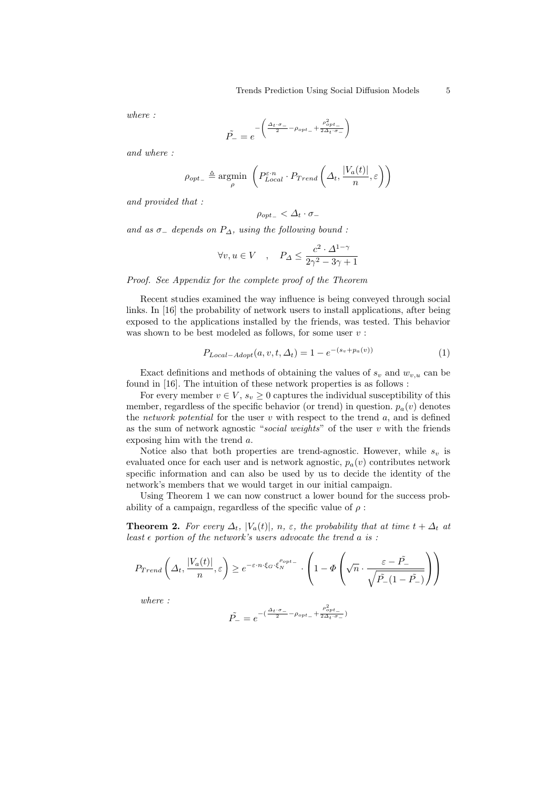*where :*

$$
\tilde{P}_{-} = e^{-\left(\frac{\Delta_t \cdot \sigma_{-}}{2} - \rho_{opt_{-}} + \frac{\rho_{opt_{-}}^2}{2\Delta_t \cdot \sigma_{-}}\right)}
$$

*and where :*

$$
\rho_{opt_{-}} \triangleq \underset{\rho}{\text{argmin}} \left( P_{Local}^{\varepsilon \cdot n} \cdot P_{Trend} \left( \Delta_t, \frac{|V_a(t)|}{n}, \varepsilon \right) \right)
$$

*and provided that :*

$$
\rho_{opt_-}<\varDelta_t\cdot\sigma_-
$$

*and as*  $\sigma$ <sub>−</sub> *depends on*  $P_{\Delta}$ *, using the following bound :* 

$$
\forall v, u \in V \quad , \quad P_{\Delta} \le \frac{c^2 \cdot \Delta^{1-\gamma}}{2\gamma^2 - 3\gamma + 1}
$$

*Proof. See Appendix for the complete proof of the Theorem*

Recent studies examined the way influence is being conveyed through social links. In [16] the probability of network users to install applications, after being exposed to the applications installed by the friends, was tested. This behavior was shown to be best modeled as follows, for some user *v* :

$$
P_{Local-Adopt}(a, v, t, \Delta_t) = 1 - e^{-(s_v + p_a(v))}
$$
\n(1)

Exact definitions and methods of obtaining the values of  $s_v$  and  $w_{v,u}$  can be found in [16]. The intuition of these network properties is as follows :

For every member  $v \in V$ ,  $s_v \geq 0$  captures the individual susceptibility of this member, regardless of the specific behavior (or trend) in question.  $p_a(v)$  denotes the *network potential* for the user *v* with respect to the trend *a*, and is defined as the sum of network agnostic "*social weights*" of the user *v* with the friends exposing him with the trend *a*.

Notice also that both properties are trend-agnostic. However, while *s<sup>v</sup>* is evaluated once for each user and is network agnostic,  $p_a(v)$  contributes network specific information and can also be used by us to decide the identity of the network's members that we would target in our initial campaign.

Using Theorem 1 we can now construct a lower bound for the success probability of a campaign, regardless of the specific value of  $\rho$ :

**Theorem 2.** For every  $\Delta_t$ ,  $|V_a(t)|$ ,  $n, \varepsilon$ , the probability that at time  $t + \Delta_t$  at *least*  $\epsilon$  *portion of the network's users advocate the trend*  $\alpha$  *is :* 

$$
P_{Trend}\left(\Delta_{t}, \frac{|V_{a}(t)|}{n}, \varepsilon\right) \ge e^{-\varepsilon \cdot n \cdot \xi_{G} \cdot \xi_{N}^{\rho opt}} \cdot \left(1 - \Phi\left(\sqrt{n} \cdot \frac{\varepsilon - \tilde{P}_{-}}{\sqrt{\tilde{P}_{-}(1 - \tilde{P}_{-})}}\right)\right)
$$

*where :*

$$
\tilde{P}_{-} = e^{-\left(\frac{\Delta_t \cdot \sigma_{-}}{2} - \rho_{opt_{-}} + \frac{\rho_{opt_{-}}^2}{2\Delta_t \cdot \sigma_{-}}\right)}
$$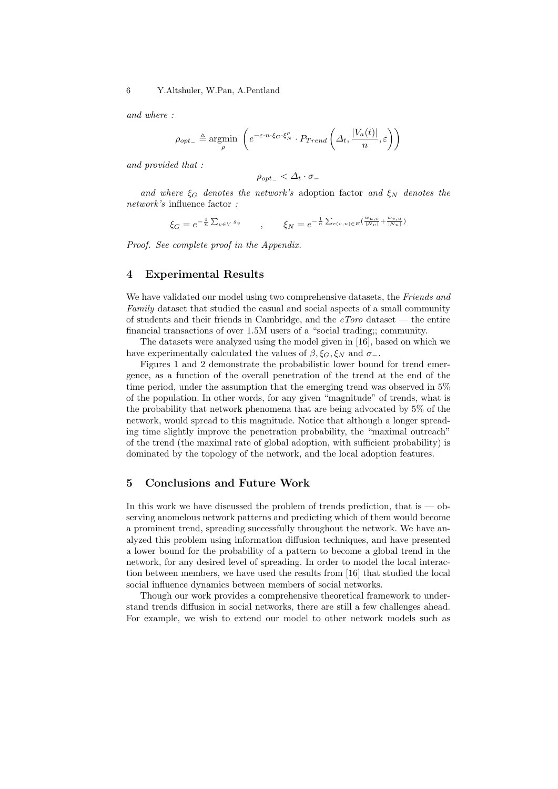*and where :*

$$
\rho_{opt_{-}} \triangleq \underset{\rho}{\operatorname{argmin}} \ \left(e^{-\varepsilon \cdot n \cdot \xi_G \cdot \xi_N^{\rho}} \cdot P_{Trend}\left(\varDelta_t, \frac{|V_a(t)|}{n}, \varepsilon\right)\right)
$$

*and provided that :*

$$
\rho_{opt_{-}} < \Delta_t \cdot \sigma_{-}
$$

*and where*  $\xi_G$  *denotes the network's* adoption factor *and*  $\xi_N$  *denotes the network's* influence factor *:*

$$
\xi_G = e^{-\frac{1}{n} \sum_{v \in V} s_v} \qquad , \qquad \xi_N = e^{-\frac{1}{n} \sum_{e(v,u) \in E} (\frac{w_{u,v}}{|Nv|} + \frac{w_{v,u}}{|Nu|})}
$$

*Proof. See complete proof in the Appendix.*

#### **4 Experimental Results**

We have validated our model using two comprehensive datasets, the *Friends and Family* dataset that studied the casual and social aspects of a small community of students and their friends in Cambridge, and the *eToro* dataset — the entire financial transactions of over 1.5M users of a "social trading;; community.

The datasets were analyzed using the model given in [16], based on which we have experimentally calculated the values of  $\beta$ *,*  $\xi$ *<sup><i>G*</sup></sub>,  $\xi$ <sub>*N*</sub> and  $\sigma$ <sup>*-*</sup>.

Figures 1 and 2 demonstrate the probabilistic lower bound for trend emergence, as a function of the overall penetration of the trend at the end of the time period, under the assumption that the emerging trend was observed in 5% of the population. In other words, for any given "magnitude" of trends, what is the probability that network phenomena that are being advocated by 5% of the network, would spread to this magnitude. Notice that although a longer spreading time slightly improve the penetration probability, the "maximal outreach" of the trend (the maximal rate of global adoption, with sufficient probability) is dominated by the topology of the network, and the local adoption features.

#### **5 Conclusions and Future Work**

In this work we have discussed the problem of trends prediction, that is  $\sim$  observing anomelous network patterns and predicting which of them would become a prominent trend, spreading successfully throughout the network. We have analyzed this problem using information diffusion techniques, and have presented a lower bound for the probability of a pattern to become a global trend in the network, for any desired level of spreading. In order to model the local interaction between members, we have used the results from [16] that studied the local social influence dynamics between members of social networks.

Though our work provides a comprehensive theoretical framework to understand trends diffusion in social networks, there are still a few challenges ahead. For example, we wish to extend our model to other network models such as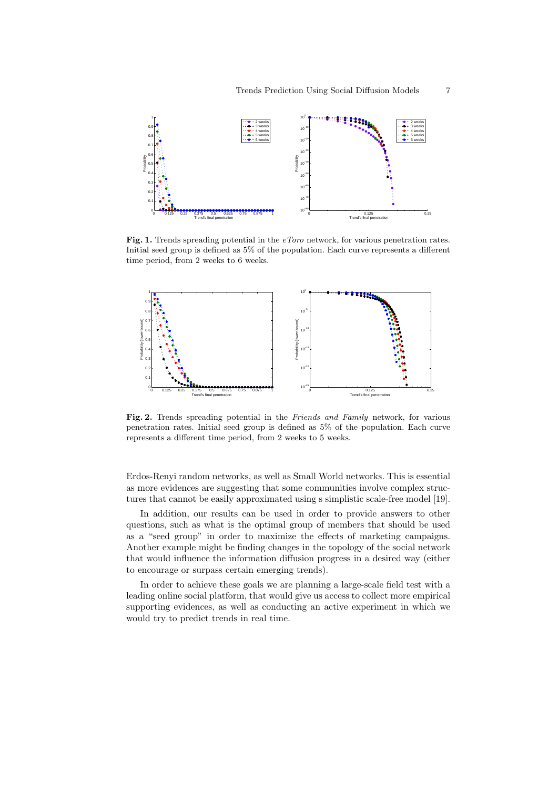

**Fig. 1.** Trends spreading potential in the *eToro* network, for various penetration rates. Initial seed group is defined as 5% of the population. Each curve represents a different time period, from 2 weeks to 6 weeks.



**Fig. 2.** Trends spreading potential in the *Friends and Family* network, for various penetration rates. Initial seed group is defined as 5% of the population. Each curve represents a different time period, from 2 weeks to 5 weeks.

Erdos-Renyi random networks, as well as Small World networks. This is essential as more evidences are suggesting that some communities involve complex structures that cannot be easily approximated using s simplistic scale-free model [19].

In addition, our results can be used in order to provide answers to other questions, such as what is the optimal group of members that should be used as a "seed group" in order to maximize the effects of marketing campaigns. Another example might be finding changes in the topology of the social network that would influence the information diffusion progress in a desired way (either to encourage or surpass certain emerging trends).

In order to achieve these goals we are planning a large-scale field test with a leading online social platform, that would give us access to collect more empirical supporting evidences, as well as conducting an active experiment in which we would try to predict trends in real time.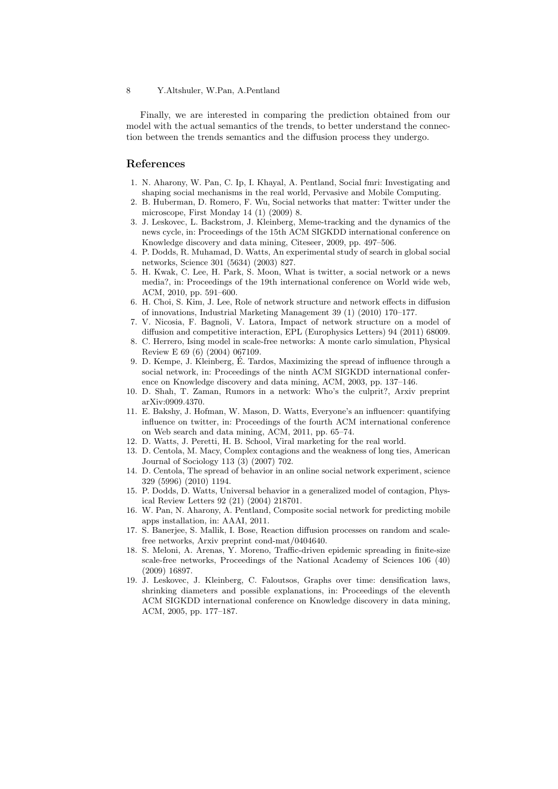Finally, we are interested in comparing the prediction obtained from our model with the actual semantics of the trends, to better understand the connection between the trends semantics and the diffusion process they undergo.

## **References**

- 1. N. Aharony, W. Pan, C. Ip, I. Khayal, A. Pentland, Social fmri: Investigating and shaping social mechanisms in the real world, Pervasive and Mobile Computing.
- 2. B. Huberman, D. Romero, F. Wu, Social networks that matter: Twitter under the microscope, First Monday 14 (1) (2009) 8.
- 3. J. Leskovec, L. Backstrom, J. Kleinberg, Meme-tracking and the dynamics of the news cycle, in: Proceedings of the 15th ACM SIGKDD international conference on Knowledge discovery and data mining, Citeseer, 2009, pp. 497–506.
- 4. P. Dodds, R. Muhamad, D. Watts, An experimental study of search in global social networks, Science 301 (5634) (2003) 827.
- 5. H. Kwak, C. Lee, H. Park, S. Moon, What is twitter, a social network or a news media?, in: Proceedings of the 19th international conference on World wide web, ACM, 2010, pp. 591–600.
- 6. H. Choi, S. Kim, J. Lee, Role of network structure and network effects in diffusion of innovations, Industrial Marketing Management 39 (1) (2010) 170–177.
- 7. V. Nicosia, F. Bagnoli, V. Latora, Impact of network structure on a model of diffusion and competitive interaction, EPL (Europhysics Letters) 94 (2011) 68009.
- 8. C. Herrero, Ising model in scale-free networks: A monte carlo simulation, Physical Review E 69 (6) (2004) 067109.
- 9. D. Kempe, J. Kleinberg, E. Tardos, Maximizing the spread of influence through a ´ social network, in: Proceedings of the ninth ACM SIGKDD international conference on Knowledge discovery and data mining, ACM, 2003, pp. 137–146.
- 10. D. Shah, T. Zaman, Rumors in a network: Who's the culprit?, Arxiv preprint arXiv:0909.4370.
- 11. E. Bakshy, J. Hofman, W. Mason, D. Watts, Everyone's an influencer: quantifying influence on twitter, in: Proceedings of the fourth ACM international conference on Web search and data mining, ACM, 2011, pp. 65–74.
- 12. D. Watts, J. Peretti, H. B. School, Viral marketing for the real world.
- 13. D. Centola, M. Macy, Complex contagions and the weakness of long ties, American Journal of Sociology 113 (3) (2007) 702.
- 14. D. Centola, The spread of behavior in an online social network experiment, science 329 (5996) (2010) 1194.
- 15. P. Dodds, D. Watts, Universal behavior in a generalized model of contagion, Physical Review Letters 92 (21) (2004) 218701.
- 16. W. Pan, N. Aharony, A. Pentland, Composite social network for predicting mobile apps installation, in: AAAI, 2011.
- 17. S. Banerjee, S. Mallik, I. Bose, Reaction diffusion processes on random and scalefree networks, Arxiv preprint cond-mat/0404640.
- 18. S. Meloni, A. Arenas, Y. Moreno, Traffic-driven epidemic spreading in finite-size scale-free networks, Proceedings of the National Academy of Sciences 106 (40) (2009) 16897.
- 19. J. Leskovec, J. Kleinberg, C. Faloutsos, Graphs over time: densification laws, shrinking diameters and possible explanations, in: Proceedings of the eleventh ACM SIGKDD international conference on Knowledge discovery in data mining, ACM, 2005, pp. 177–187.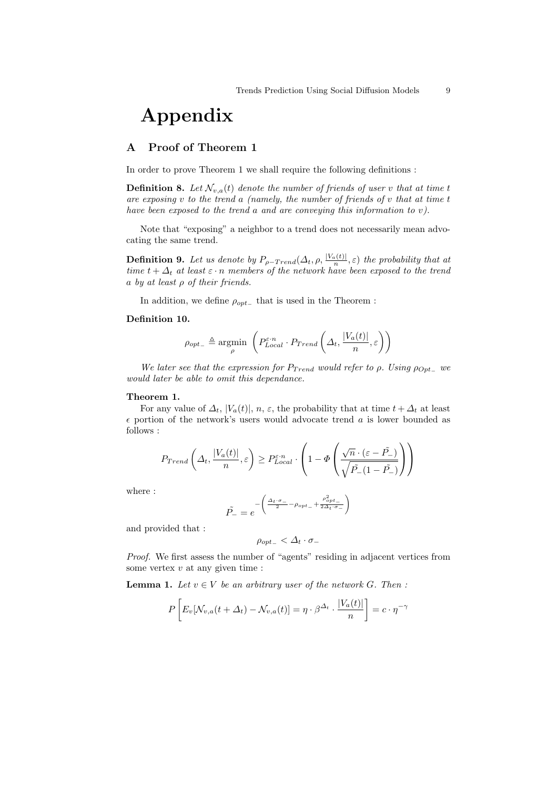# **Appendix**

## **A Proof of Theorem 1**

In order to prove Theorem 1 we shall require the following definitions :

**Definition 8.** Let  $\mathcal{N}_{v,a}(t)$  denote the number of friends of user *v* that at time *t are exposing v to the trend a (namely, the number of friends of v that at time t have been exposed to the trend a and are conveying this information to v).*

Note that "exposing" a neighbor to a trend does not necessarily mean advocating the same trend.

**Definition 9.** Let us denote by  $P_{\rho-Trend}(\Delta_t, \rho, \frac{|V_a(t)|}{n}, \varepsilon)$  the probability that at *time*  $t + \Delta_t$  *at least*  $\varepsilon \cdot n$  *members of the network have been exposed to the trend a by at least ρ of their friends.*

In addition, we define  $\rho_{opt-}$  that is used in the Theorem :

#### **Definition 10.**

$$
\rho_{opt_{-}} \triangleq \underset{\rho}{\operatorname{argmin}} \left( P_{Local}^{\varepsilon \cdot n} \cdot P_{Trend} \left( \Delta_t, \frac{|V_a(t)|}{n}, \varepsilon \right) \right)
$$

*We later see that the expression for*  $P_{Trend}$  *would refer to*  $\rho$ *. Using*  $\rho_{Opt}$  *we would later be able to omit this dependance.*

#### **Theorem 1.**

For any value of  $\Delta_t$ ,  $|V_a(t)|$ ,  $n, \varepsilon$ , the probability that at time  $t + \Delta_t$  at least *ϵ* portion of the network's users would advocate trend *a* is lower bounded as follows :

$$
P_{Trend}\left(\varDelta_t,\frac{|V_a(t)|}{n},\varepsilon\right) \ge P_{Local}^{\varepsilon\cdot n} \cdot \left(1-\varPhi\left(\frac{\sqrt{n}\cdot(\varepsilon-\tilde{P_-})}{\sqrt{\tilde{P}_-(1-\tilde{P}_-)}}\right)\right)
$$

where :

$$
\tilde{P_{-}}=e^{-\left(\frac{\varDelta_{t}\cdot\sigma_{-}}{2}-\rho_{opt_{-}}+\frac{\rho_{opt_{-}}^{2}}{2\varDelta_{t}\cdot\sigma_{-}}\right)}
$$

and provided that :

$$
\rho_{opt_{-}}<\varDelta_t\cdot\sigma_{-}
$$

*Proof.* We first assess the number of "agents" residing in adjacent vertices from some vertex *v* at any given time :

**Lemma 1.** *Let*  $v \in V$  *be an arbitrary user of the network G. Then :* 

$$
P\left[E_v[\mathcal{N}_{v,a}(t+\Delta_t)-\mathcal{N}_{v,a}(t)]=\eta\cdot\beta^{\Delta_t}\cdot\frac{|V_a(t)|}{n}\right]=c\cdot\eta^{-\gamma}
$$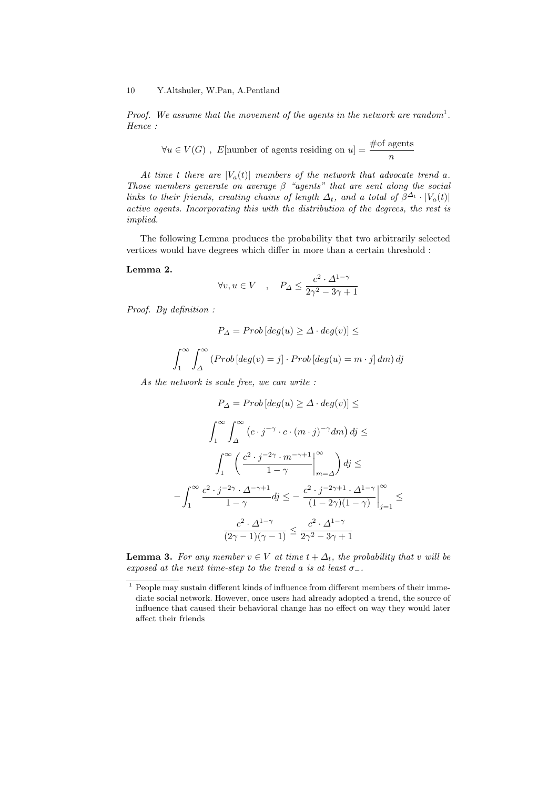*Proof. We assume that the movement of the agents in the network are random*<sup>1</sup> *. Hence :*

$$
\forall u \in V(G) , \ E[\text{number of agents residing on } u] = \frac{\# \text{of agents}}{n}
$$

At time *t* there are  $|V_a(t)|$  members of the network that advocate trend *a*. *Those members generate on average β "agents" that are sent along the social links to their friends, creating chains of length*  $\Delta_t$ *, and a total of*  $\beta^{\Delta_t} \cdot |V_a(t)|$ *active agents. Incorporating this with the distribution of the degrees, the rest is implied.*

The following Lemma produces the probability that two arbitrarily selected vertices would have degrees which differ in more than a certain threshold :

#### **Lemma 2.**

$$
\forall v,u \in V \quad , \quad P_{\varDelta} \leq \frac{c^2 \cdot \varDelta^{1-\gamma}}{2\gamma^2-3\gamma+1}
$$

*Proof. By definition :*

$$
P_{\Delta} = Prob[deg(u) \ge \Delta \cdot deg(v)] \le
$$

$$
\int_{1}^{\infty} \int_{\Delta}^{\infty} (Prob[deg(v) = j] \cdot Prob[deg(u) = m \cdot j] \, dm) \, dj
$$

*As the network is scale free, we can write :*

$$
P_{\Delta} = Prob[deg(u) \ge \Delta \cdot deg(v)] \le
$$

$$
\int_{1}^{\infty} \int_{\Delta}^{\infty} (c \cdot j^{-\gamma} \cdot c \cdot (m \cdot j)^{-\gamma} dm) \, dj \le
$$

$$
\int_{1}^{\infty} \left( \frac{c^{2} \cdot j^{-2\gamma} \cdot m^{-\gamma+1}}{1 - \gamma} \Big|_{m=\Delta}^{\infty} \right) dj \le
$$

$$
-\int_{1}^{\infty} \frac{c^{2} \cdot j^{-2\gamma} \cdot \Delta^{-\gamma+1}}{1 - \gamma} dj \le -\left. \frac{c^{2} \cdot j^{-2\gamma+1} \cdot \Delta^{1-\gamma}}{(1 - 2\gamma)(1 - \gamma)} \right|_{j=1}^{\infty} \le
$$

$$
\frac{c^{2} \cdot \Delta^{1-\gamma}}{(2\gamma - 1)(\gamma - 1)} \le \frac{c^{2} \cdot \Delta^{1-\gamma}}{2\gamma^{2} - 3\gamma + 1}
$$

**Lemma 3.** For any member  $v \in V$  at time  $t + \Delta_t$ , the probability that *v* will be *exposed at the next time-step to the trend*  $a$  *<i>is at least*  $\sigma$ <sup> $-$ </sup>.

 $1$  People may sustain different kinds of influence from different members of their immediate social network. However, once users had already adopted a trend, the source of influence that caused their behavioral change has no effect on way they would later affect their friends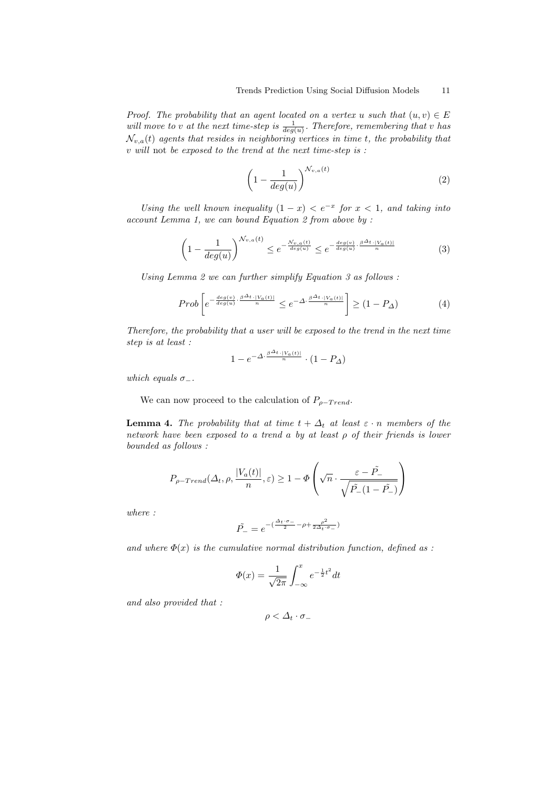*Proof.* The probability that an agent located on a vertex *u* such that  $(u, v) \in E$ *will move to v at the next time-step is*  $\frac{1}{deg(u)}$ . Therefore, remembering that *v* has  $\mathcal{N}_{v,a}(t)$  agents that resides in neighboring vertices in time *t*, the probability that *v will* not *be exposed to the trend at the next time-step is :*

$$
\left(1 - \frac{1}{deg(u)}\right)^{\mathcal{N}_{v,a}(t)}\tag{2}
$$

*Using the well known inequality*  $(1 - x) < e^{-x}$  *for*  $x < 1$ *, and taking into account Lemma 1, we can bound Equation 2 from above by :*

$$
\left(1 - \frac{1}{deg(u)}\right)^{\mathcal{N}_{v,a}(t)} \le e^{-\frac{\mathcal{N}_{v,a}(t)}{deg(u)}} \le e^{-\frac{deg(v)}{deg(u)} \cdot \frac{\beta^{\Delta_t} \cdot |V_a(t)|}{n}} \tag{3}
$$

*Using Lemma 2 we can further simplify Equation 3 as follows :*

$$
Prob\left[e^{-\frac{deg(v)}{deg(u)}\cdot\frac{\beta \Delta_{t-}|V_a(t)|}{n}} \le e^{-\Delta \cdot \frac{\beta \Delta_{t-}|V_a(t)|}{n}}\right] \ge (1 - P_{\Delta})\tag{4}
$$

*Therefore, the probability that a user will be exposed to the trend in the next time step is at least :*

$$
1 - e^{-\Delta \cdot \frac{\beta^{\Delta_t} \cdot |V_a(t)|}{n}} \cdot (1 - P_{\Delta})
$$

*which equals*  $\sigma$ <sup> $-$ </sup>.

We can now proceed to the calculation of  $P_{\rho-Trend}$ .

**Lemma 4.** *The probability that at time*  $t + \Delta_t$  *at least*  $\varepsilon \cdot n$  *members of the network have been exposed to a trend a by at least ρ of their friends is lower bounded as follows :*

$$
P_{\rho-Trend}(\Delta_t, \rho, \frac{|V_a(t)|}{n}, \varepsilon) \ge 1 - \Phi\left(\sqrt{n} \cdot \frac{\varepsilon - \tilde{P}_-}{\sqrt{\tilde{P}_-(1 - \tilde{P}_-)}}\right)
$$

*where :*

$$
\tilde{P}_{-} = e^{-\left(\frac{\Delta_t \cdot \sigma_{-}}{2} - \rho + \frac{\rho^2}{2\Delta_t \cdot \sigma_{-}}\right)}
$$

*and where*  $\Phi(x)$  *is the cumulative normal distribution function, defined as :* 

$$
\Phi(x) = \frac{1}{\sqrt{2\pi}} \int_{-\infty}^{x} e^{-\frac{1}{2}t^2} dt
$$

*and also provided that :*

$$
\rho < \Delta_t \cdot \sigma_-
$$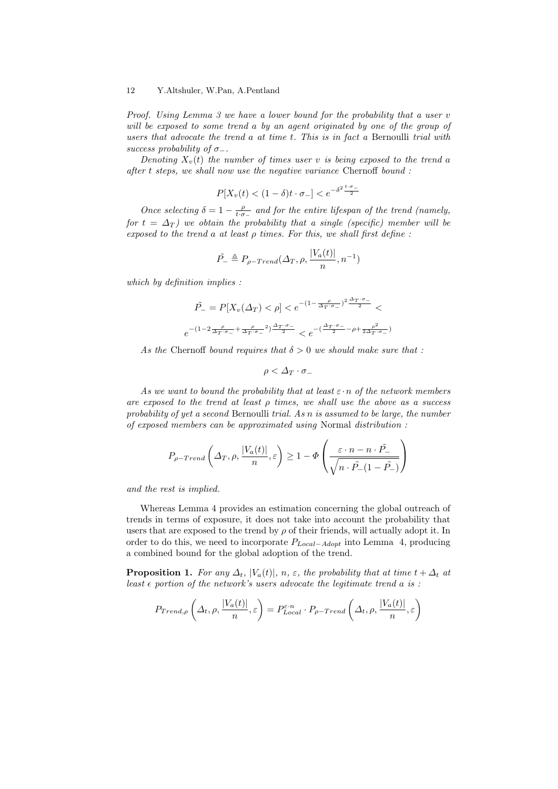*Proof. Using Lemma 3 we have a lower bound for the probability that a user v will be exposed to some trend a by an agent originated by one of the group of users that advocate the trend a at time t. This is in fact a* Bernoulli *trial with success probability of*  $\sigma$ <sup> $-$ </sup>.

*Denoting*  $X_n(t)$  *the number of times user v is being exposed to the trend a after t steps, we shall now use the negative variance* Chernoff *bound :*

$$
P[X_v(t) < (1 - \delta)t \cdot \sigma_-] < e^{-\delta^2 \frac{t \cdot \sigma_-}{2}}
$$

*Once selecting*  $\delta = 1 - \frac{\rho}{t \cdot \sigma_{-}}$  and for the entire lifespan of the trend (namely, *for*  $t = \Delta_T$  *we obtain the probability that a single (specific) member will be exposed to the trend a at least ρ times. For this, we shall first define :*

$$
\tilde{P_{-}} \triangleq P_{\rho-Trend}(\Delta_T, \rho, \frac{|V_a(t)|}{n}, n^{-1})
$$

*which by definition implies :*

$$
\tilde{P}_{-} = P[X_v(\Delta_T) < \rho] < e^{-(1 - \frac{\rho}{\Delta_T \cdot \sigma_{-}})^2 \frac{\Delta_T \cdot \sigma_{-}}{2}} < \\ e^{-(1 - 2\frac{\rho}{\Delta_T \cdot \sigma_{-}} + \frac{\rho}{\Delta_T \cdot \sigma_{-}})^2 \frac{\Delta_T \cdot \sigma_{-}}{2}} < e^{-(\frac{\Delta_T \cdot \sigma_{-}}{2} - \rho + \frac{\rho^2}{2\Delta_T \cdot \sigma_{-}})^2})
$$

*As the* Chernoff *bound requires that δ >* 0 *we should make sure that :*

$$
\rho < \varDelta_T \cdot \sigma_-
$$

*As we want to bound the probability that at least ε ·n of the network members are exposed to the trend at least ρ times, we shall use the above as a success probability of yet a second* Bernoulli *trial. As n is assumed to be large, the number of exposed members can be approximated using* Normal *distribution :*

$$
P_{\rho-Trend}\left(\Delta_T, \rho, \frac{|V_a(t)|}{n}, \varepsilon\right) \ge 1 - \Phi\left(\frac{\varepsilon \cdot n - n \cdot \tilde{P}_-}{\sqrt{n \cdot \tilde{P}_-(1 - \tilde{P}_-)}}\right)
$$

*and the rest is implied.*

Whereas Lemma 4 provides an estimation concerning the global outreach of trends in terms of exposure, it does not take into account the probability that users that are exposed to the trend by  $\rho$  of their friends, will actually adopt it. In order to do this, we need to incorporate *PLocal−Adopt* into Lemma 4, producing a combined bound for the global adoption of the trend.

**Proposition 1.** For any  $\Delta_t$ ,  $|V_a(t)|$ ,  $n, \varepsilon$ , the probability that at time  $t + \Delta_t$  at *least*  $\epsilon$  *portion of the network's users advocate the legitimate trend a is :* 

$$
P_{Trend,\rho}\left(\Delta_t,\rho,\frac{|V_a(t)|}{n},\varepsilon\right) = P_{Local}^{\varepsilon\cdot n} \cdot P_{\rho-Trend}\left(\Delta_t,\rho,\frac{|V_a(t)|}{n},\varepsilon\right)
$$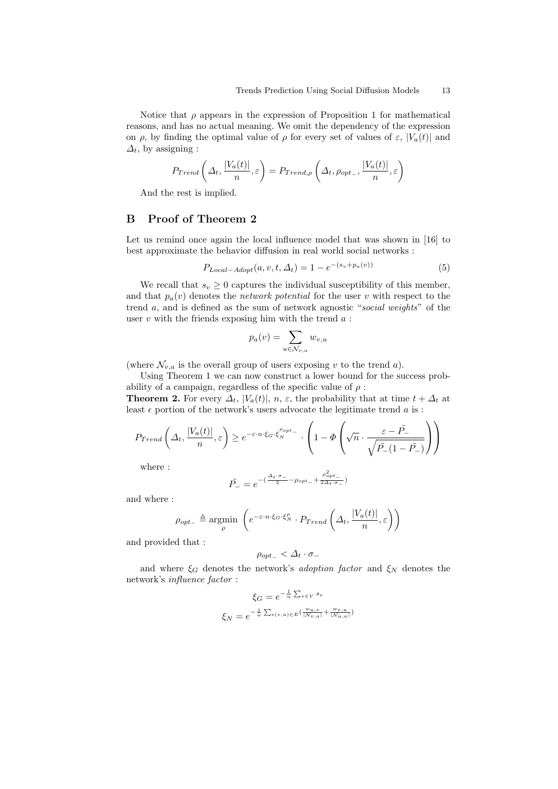Notice that  $\rho$  appears in the expression of Proposition 1 for mathematical reasons, and has no actual meaning. We omit the dependency of the expression on *ρ*, by finding the optimal value of *ρ* for every set of values of  $\varepsilon$ ,  $|V_a(t)|$  and  $\Delta_t$ , by assigning :

$$
P_{Trend}\left(\Delta_t, \frac{|V_a(t)|}{n}, \varepsilon\right) = P_{Trend, \rho}\left(\Delta_t, \rho_{opt_-}, \frac{|V_a(t)|}{n}, \varepsilon\right)
$$

And the rest is implied.

## **B Proof of Theorem 2**

Let us remind once again the local influence model that was shown in [16] to best approximate the behavior diffusion in real world social networks :

$$
P_{Local-Adopt}(a, v, t, \Delta_t) = 1 - e^{-(s_v + p_a(v))}
$$
\n(5)

We recall that  $s_v \geq 0$  captures the individual susceptibility of this member, and that  $p_a(v)$  denotes the *network potential* for the user *v* with respect to the trend *a*, and is defined as the sum of network agnostic "*social weights*" of the user  $v$  with the friends exposing him with the trend  $a$ :

$$
p_a(v) = \sum_{u \in \mathcal{N}_{v,a}} w_{v,u}
$$

(where  $\mathcal{N}_{v,a}$  is the overall group of users exposing *v* to the trend *a*).

Using Theorem 1 we can now construct a lower bound for the success probability of a campaign, regardless of the specific value of  $\rho$ :

**Theorem 2.** For every  $\Delta_t$ ,  $|V_a(t)|$ , *n*,  $\varepsilon$ , the probability that at time  $t + \Delta_t$  at least  $\epsilon$  portion of the network's users advocate the legitimate trend  $\alpha$  is :

$$
P_{Trend}\left(\Delta_{t}, \frac{|V_{a}(t)|}{n}, \varepsilon\right) \ge e^{-\varepsilon \cdot n \cdot \xi_{G} \cdot \xi_{N}^{Popt}} \cdot \left(1 - \Phi\left(\sqrt{n} \cdot \frac{\varepsilon - \tilde{P}_{-}}{\sqrt{\tilde{P}_{-}(1 - \tilde{P}_{-})}}\right)\right)
$$

where :

$$
\tilde{P}_{-} = e^{-\left(\frac{\Delta_t \cdot \sigma_{-}}{2} - \rho_{opt_{-}} + \frac{\rho_{opt_{-}}^{2}}{2\Delta_t \cdot \sigma_{-}}\right)}
$$

and where :

$$
\rho_{opt_{-}} \triangleq \underset{\rho}{\operatorname{argmin}} \left( e^{-\varepsilon \cdot n \cdot \xi_{G} \cdot \xi_{N}^{\rho}} \cdot P_{Trend}\left(\Delta_{t}, \frac{|V_{a}(t)|}{n}, \varepsilon\right) \right)
$$

and provided that :

$$
\rho_{opt-} < \Delta_t \cdot \sigma_-
$$

and where  $\xi_G$  denotes the network's *adoption factor* and  $\xi_N$  denotes the network's *influence factor* :

$$
\xi_G = e^{-\frac{1}{n} \sum_{v \in V} s_v}
$$

$$
\xi_N = e^{-\frac{1}{n} \sum_{e(v,u) \in E} (\frac{w_{u,v}}{|N_{v,a}|} + \frac{w_{v,u}}{|N_{u,a}|})}
$$